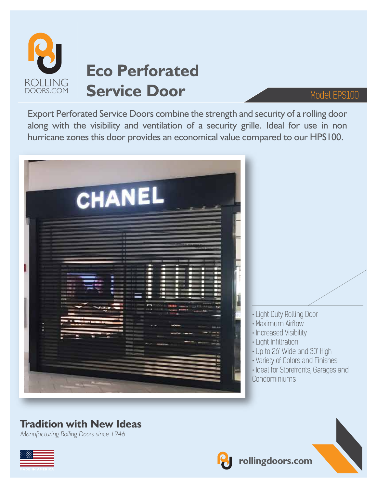

# **Eco Perforated**  Service Door Model EPS100

Export Perforated Service Doors combine the strength and security of a rolling door along with the visibility and ventilation of a security grille. Ideal for use in non hurricane zones this door provides an economical value compared to our HPS100.